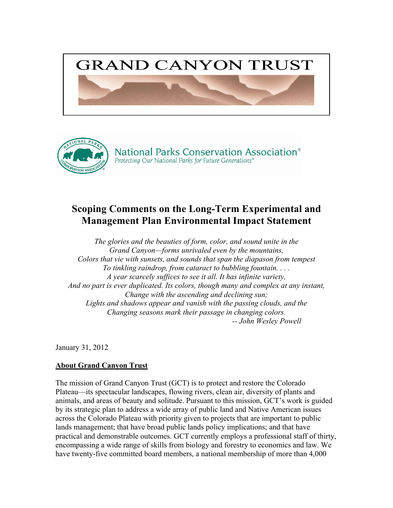



# **Scoping Comments on the Long-Term Experimental and Management Plan Environmental Impact Statement**

*The glories and the beauties of form, color, and sound unite in the Grand Canyon—forms unrivaled even by the mountains, Colors that vie with sunsets, and sounds that span the diapason from tempest To tinkling raindrop, from cataract to bubbling fountain. . . . A year scarcely suffices to see it all. It has infinite variety, And no part is ever duplicated. Its colors, though many and complex at any instant, Change with the ascending and declining sun; Lights and shadows appear and vanish with the passing clouds, and the Changing seasons mark their passage in changing colors. -- John Wesley Powell*

January 31, 2012

# **About Grand Canyon Trust**

The mission of Grand Canyon Trust (GCT) is to protect and restore the Colorado Plateau—its spectacular landscapes, flowing rivers, clean air, diversity of plants and animals, and areas of beauty and solitude. Pursuant to this mission, GCT's work is guided by its strategic plan to address a wide array of public land and Native American issues across the Colorado Plateau with priority given to projects that are important to public lands management; that have broad public lands policy implications; and that have practical and demonstrable outcomes. GCT currently employs a professional staff of thirty, encompassing a wide range of skills from biology and forestry to economics and law. We have twenty-five committed board members, a national membership of more than 4,000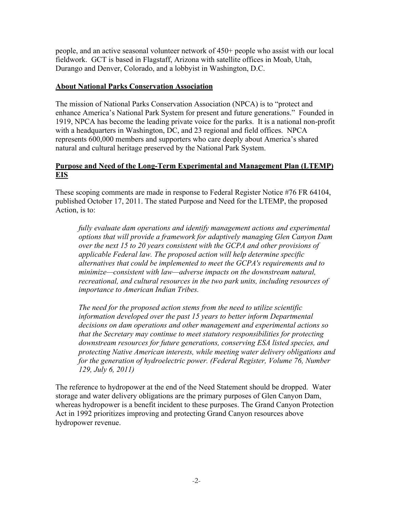people, and an active seasonal volunteer network of 450+ people who assist with our local fieldwork. GCT is based in Flagstaff, Arizona with satellite offices in Moab, Utah, Durango and Denver, Colorado, and a lobbyist in Washington, D.C.

# **About National Parks Conservation Association**

The mission of National Parks Conservation Association (NPCA) is to "protect and enhance America's National Park System for present and future generations." Founded in 1919, NPCA has become the leading private voice for the parks. It is a national non-profit with a headquarters in Washington, DC, and 23 regional and field offices. NPCA represents 600,000 members and supporters who care deeply about America's shared natural and cultural heritage preserved by the National Park System.

# **Purpose and Need of the Long-Term Experimental and Management Plan (LTEMP) EIS**

These scoping comments are made in response to Federal Register Notice #76 FR 64104, published October 17, 2011. The stated Purpose and Need for the LTEMP, the proposed Action, is to:

*fully evaluate dam operations and identify management actions and experimental options that will provide a framework for adaptively managing Glen Canyon Dam over the next 15 to 20 years consistent with the GCPA and other provisions of applicable Federal law. The proposed action will help determine specific alternatives that could be implemented to meet the GCPA's requirements and to minimize—consistent with law—adverse impacts on the downstream natural, recreational, and cultural resources in the two park units, including resources of importance to American Indian Tribes.* 

*The need for the proposed action stems from the need to utilize scientific information developed over the past 15 years to better inform Departmental decisions on dam operations and other management and experimental actions so that the Secretary may continue to meet statutory responsibilities for protecting downstream resources for future generations, conserving ESA listed species, and protecting Native American interests, while meeting water delivery obligations and for the generation of hydroelectric power. (Federal Register, Volume 76, Number 129, July 6, 2011)*

The reference to hydropower at the end of the Need Statement should be dropped. Water storage and water delivery obligations are the primary purposes of Glen Canyon Dam, whereas hydropower is a benefit incident to these purposes. The Grand Canyon Protection Act in 1992 prioritizes improving and protecting Grand Canyon resources above hydropower revenue.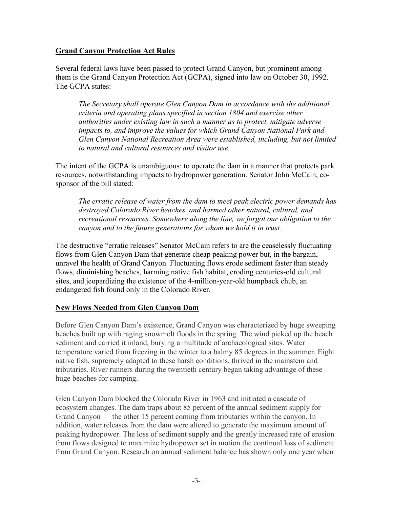# **Grand Canyon Protection Act Rules**

Several federal laws have been passed to protect Grand Canyon, but prominent among them is the Grand Canyon Protection Act (GCPA), signed into law on October 30, 1992. The GCPA states:

*The Secretary shall operate Glen Canyon Dam in accordance with the additional criteria and operating plans specified in section 1804 and exercise other authorities under existing law in such a manner as to protect, mitigate adverse impacts to, and improve the values for which Grand Canyon National Park and Glen Canyon National Recreation Area were established, including, but not limited to natural and cultural resources and visitor use.*

The intent of the GCPA is unambiguous: to operate the dam in a manner that protects park resources, notwithstanding impacts to hydropower generation. Senator John McCain, cosponsor of the bill stated:

*The erratic release of water from the dam to meet peak electric power demands has destroyed Colorado River beaches, and harmed other natural, cultural, and recreational resources. Somewhere along the line, we forgot our obligation to the canyon and to the future generations for whom we hold it in trust.*

The destructive "erratic releases" Senator McCain refers to are the ceaselessly fluctuating flows from Glen Canyon Dam that generate cheap peaking power but, in the bargain, unravel the health of Grand Canyon. Fluctuating flows erode sediment faster than steady flows, diminishing beaches, harming native fish habitat, eroding centuries-old cultural sites, and jeopardizing the existence of the 4-million-year-old humpback chub, an endangered fish found only in the Colorado River.

# **New Flows Needed from Glen Canyon Dam**

Before Glen Canyon Dam's existence, Grand Canyon was characterized by huge sweeping beaches built up with raging snowmelt floods in the spring. The wind picked up the beach sediment and carried it inland, burying a multitude of archaeological sites. Water temperature varied from freezing in the winter to a balmy 85 degrees in the summer. Eight native fish, supremely adapted to these harsh conditions, thrived in the mainstem and tributaries. River runners during the twentieth century began taking advantage of these huge beaches for camping.

Glen Canyon Dam blocked the Colorado River in 1963 and initiated a cascade of ecosystem changes. The dam traps about 85 percent of the annual sediment supply for Grand Canyon — the other 15 percent coming from tributaries within the canyon. In addition, water releases from the dam were altered to generate the maximum amount of peaking hydropower. The loss of sediment supply and the greatly increased rate of erosion from flows designed to maximize hydropower set in motion the continual loss of sediment from Grand Canyon. Research on annual sediment balance has shown only one year when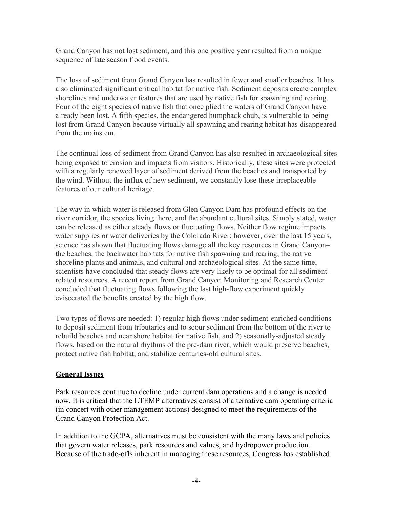Grand Canyon has not lost sediment, and this one positive year resulted from a unique sequence of late season flood events.

The loss of sediment from Grand Canyon has resulted in fewer and smaller beaches. It has also eliminated significant critical habitat for native fish. Sediment deposits create complex shorelines and underwater features that are used by native fish for spawning and rearing. Four of the eight species of native fish that once plied the waters of Grand Canyon have already been lost. A fifth species, the endangered humpback chub, is vulnerable to being lost from Grand Canyon because virtually all spawning and rearing habitat has disappeared from the mainstem.

The continual loss of sediment from Grand Canyon has also resulted in archaeological sites being exposed to erosion and impacts from visitors. Historically, these sites were protected with a regularly renewed layer of sediment derived from the beaches and transported by the wind. Without the influx of new sediment, we constantly lose these irreplaceable features of our cultural heritage.

The way in which water is released from Glen Canyon Dam has profound effects on the river corridor, the species living there, and the abundant cultural sites. Simply stated, water can be released as either steady flows or fluctuating flows. Neither flow regime impacts water supplies or water deliveries by the Colorado River; however, over the last 15 years, science has shown that fluctuating flows damage all the key resources in Grand Canyon– the beaches, the backwater habitats for native fish spawning and rearing, the native shoreline plants and animals, and cultural and archaeological sites. At the same time, scientists have concluded that steady flows are very likely to be optimal for all sedimentrelated resources. A recent report from Grand Canyon Monitoring and Research Center concluded that fluctuating flows following the last high-flow experiment quickly eviscerated the benefits created by the high flow.

Two types of flows are needed: 1) regular high flows under sediment-enriched conditions to deposit sediment from tributaries and to scour sediment from the bottom of the river to rebuild beaches and near shore habitat for native fish, and 2) seasonally-adjusted steady flows, based on the natural rhythms of the pre-dam river, which would preserve beaches, protect native fish habitat, and stabilize centuries-old cultural sites.

# **General Issues**

Park resources continue to decline under current dam operations and a change is needed now. It is critical that the LTEMP alternatives consist of alternative dam operating criteria (in concert with other management actions) designed to meet the requirements of the Grand Canyon Protection Act.

In addition to the GCPA, alternatives must be consistent with the many laws and policies that govern water releases, park resources and values, and hydropower production. Because of the trade-offs inherent in managing these resources, Congress has established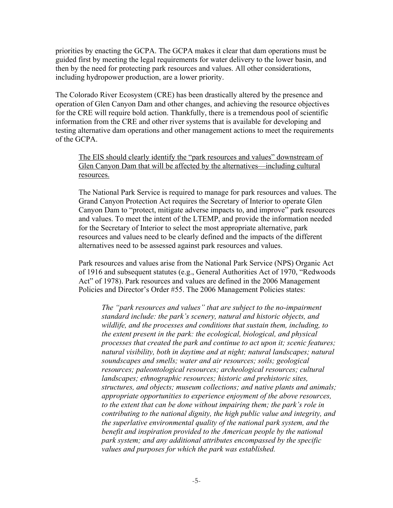priorities by enacting the GCPA. The GCPA makes it clear that dam operations must be guided first by meeting the legal requirements for water delivery to the lower basin, and then by the need for protecting park resources and values. All other considerations, including hydropower production, are a lower priority.

The Colorado River Ecosystem (CRE) has been drastically altered by the presence and operation of Glen Canyon Dam and other changes, and achieving the resource objectives for the CRE will require bold action. Thankfully, there is a tremendous pool of scientific information from the CRE and other river systems that is available for developing and testing alternative dam operations and other management actions to meet the requirements of the GCPA.

## The EIS should clearly identify the "park resources and values" downstream of Glen Canyon Dam that will be affected by the alternatives—including cultural resources.

The National Park Service is required to manage for park resources and values. The Grand Canyon Protection Act requires the Secretary of Interior to operate Glen Canyon Dam to "protect, mitigate adverse impacts to, and improve" park resources and values. To meet the intent of the LTEMP, and provide the information needed for the Secretary of Interior to select the most appropriate alternative, park resources and values need to be clearly defined and the impacts of the different alternatives need to be assessed against park resources and values.

Park resources and values arise from the National Park Service (NPS) Organic Act of 1916 and subsequent statutes (e.g., General Authorities Act of 1970, "Redwoods Act" of 1978). Park resources and values are defined in the 2006 Management Policies and Director's Order #55. The 2006 Management Policies states:

*The "park resources and values" that are subject to the no-impairment standard include: the park's scenery, natural and historic objects, and wildlife, and the processes and conditions that sustain them, including, to the extent present in the park: the ecological, biological, and physical processes that created the park and continue to act upon it; scenic features; natural visibility, both in daytime and at night; natural landscapes; natural soundscapes and smells; water and air resources; soils; geological resources; paleontological resources; archeological resources; cultural landscapes; ethnographic resources; historic and prehistoric sites, structures, and objects; museum collections; and native plants and animals; appropriate opportunities to experience enjoyment of the above resources, to the extent that can be done without impairing them; the park's role in contributing to the national dignity, the high public value and integrity, and the superlative environmental quality of the national park system, and the benefit and inspiration provided to the American people by the national park system; and any additional attributes encompassed by the specific values and purposes for which the park was established.*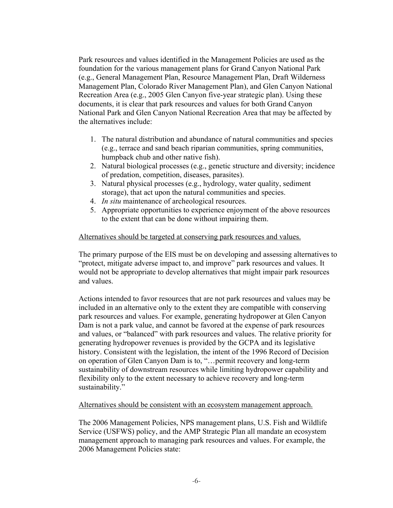Park resources and values identified in the Management Policies are used as the foundation for the various management plans for Grand Canyon National Park (e.g., General Management Plan, Resource Management Plan, Draft Wilderness Management Plan, Colorado River Management Plan), and Glen Canyon National Recreation Area (e.g., 2005 Glen Canyon five-year strategic plan). Using these documents, it is clear that park resources and values for both Grand Canyon National Park and Glen Canyon National Recreation Area that may be affected by the alternatives include:

- 1. The natural distribution and abundance of natural communities and species (e.g., terrace and sand beach riparian communities, spring communities, humpback chub and other native fish).
- 2. Natural biological processes (e.g., genetic structure and diversity; incidence of predation, competition, diseases, parasites).
- 3. Natural physical processes (e.g., hydrology, water quality, sediment storage), that act upon the natural communities and species.
- 4. *In situ* maintenance of archeological resources.
- 5. Appropriate opportunities to experience enjoyment of the above resources to the extent that can be done without impairing them.

## Alternatives should be targeted at conserving park resources and values.

The primary purpose of the EIS must be on developing and assessing alternatives to "protect, mitigate adverse impact to, and improve" park resources and values. It would not be appropriate to develop alternatives that might impair park resources and values.

Actions intended to favor resources that are not park resources and values may be included in an alternative only to the extent they are compatible with conserving park resources and values. For example, generating hydropower at Glen Canyon Dam is not a park value, and cannot be favored at the expense of park resources and values, or "balanced" with park resources and values. The relative priority for generating hydropower revenues is provided by the GCPA and its legislative history. Consistent with the legislation, the intent of the 1996 Record of Decision on operation of Glen Canyon Dam is to, "…permit recovery and long-term sustainability of downstream resources while limiting hydropower capability and flexibility only to the extent necessary to achieve recovery and long-term sustainability."

#### Alternatives should be consistent with an ecosystem management approach.

The 2006 Management Policies, NPS management plans, U.S. Fish and Wildlife Service (USFWS) policy, and the AMP Strategic Plan all mandate an ecosystem management approach to managing park resources and values. For example, the 2006 Management Policies state: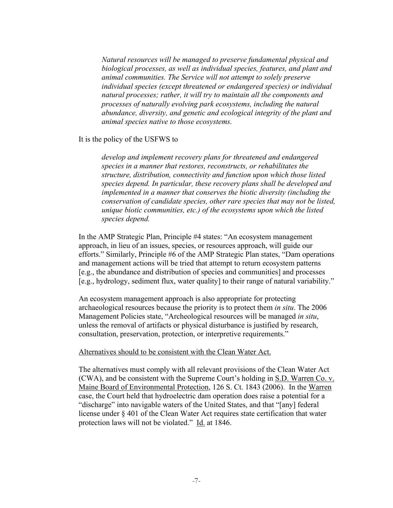*Natural resources will be managed to preserve fundamental physical and biological processes, as well as individual species, features, and plant and animal communities. The Service will not attempt to solely preserve individual species (except threatened or endangered species) or individual natural processes; rather, it will try to maintain all the components and processes of naturally evolving park ecosystems, including the natural abundance, diversity, and genetic and ecological integrity of the plant and animal species native to those ecosystems.*

It is the policy of the USFWS to

*develop and implement recovery plans for threatened and endangered species in a manner that restores, reconstructs, or rehabilitates the structure, distribution, connectivity and function upon which those listed species depend. In particular, these recovery plans shall be developed and implemented in a manner that conserves the biotic diversity (including the conservation of candidate species, other rare species that may not be listed, unique biotic communities, etc.) of the ecosystems upon which the listed species depend.*

In the AMP Strategic Plan, Principle #4 states: "An ecosystem management approach, in lieu of an issues, species, or resources approach, will guide our efforts." Similarly, Principle #6 of the AMP Strategic Plan states, "Dam operations and management actions will be tried that attempt to return ecosystem patterns [e.g., the abundance and distribution of species and communities] and processes [e.g., hydrology, sediment flux, water quality] to their range of natural variability."

An ecosystem management approach is also appropriate for protecting archaeological resources because the priority is to protect them *in situ*. The 2006 Management Policies state, "Archeological resources will be managed *in situ*, unless the removal of artifacts or physical disturbance is justified by research, consultation, preservation, protection, or interpretive requirements."

## Alternatives should to be consistent with the Clean Water Act.

The alternatives must comply with all relevant provisions of the Clean Water Act (CWA), and be consistent with the Supreme Court's holding in S.D. Warren Co. v. Maine Board of Environmental Protection, 126 S. Ct. 1843 (2006). In the Warren case, the Court held that hydroelectric dam operation does raise a potential for a "discharge" into navigable waters of the United States, and that "[any] federal license under § 401 of the Clean Water Act requires state certification that water protection laws will not be violated." Id. at 1846.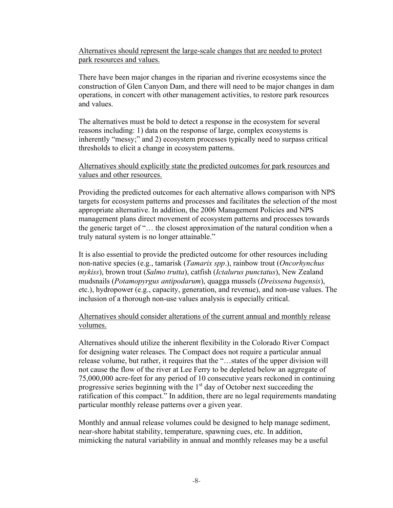Alternatives should represent the large-scale changes that are needed to protect park resources and values.

There have been major changes in the riparian and riverine ecosystems since the construction of Glen Canyon Dam, and there will need to be major changes in dam operations, in concert with other management activities, to restore park resources and values.

The alternatives must be bold to detect a response in the ecosystem for several reasons including: 1) data on the response of large, complex ecosystems is inherently "messy;" and 2) ecosystem processes typically need to surpass critical thresholds to elicit a change in ecosystem patterns.

## Alternatives should explicitly state the predicted outcomes for park resources and values and other resources.

Providing the predicted outcomes for each alternative allows comparison with NPS targets for ecosystem patterns and processes and facilitates the selection of the most appropriate alternative. In addition, the 2006 Management Policies and NPS management plans direct movement of ecosystem patterns and processes towards the generic target of "… the closest approximation of the natural condition when a truly natural system is no longer attainable."

It is also essential to provide the predicted outcome for other resources including non-native species (e.g., tamarisk (*Tamarix spp*.), rainbow trout (*Oncorhynchus mykiss*), brown trout (*Salmo trutta*), catfish (*Ictalurus punctatus*), New Zealand mudsnails (*Potamopyrgus antipodarum*), quagga mussels (*Dreissena bugensis*), etc.), hydropower (e.g., capacity, generation, and revenue), and non-use values. The inclusion of a thorough non-use values analysis is especially critical.

# Alternatives should consider alterations of the current annual and monthly release volumes.

Alternatives should utilize the inherent flexibility in the Colorado River Compact for designing water releases. The Compact does not require a particular annual release volume, but rather, it requires that the "…states of the upper division will not cause the flow of the river at Lee Ferry to be depleted below an aggregate of 75,000,000 acre-feet for any period of 10 consecutive years reckoned in continuing progressive series beginning with the  $1<sup>st</sup>$  day of October next succeeding the ratification of this compact." In addition, there are no legal requirements mandating particular monthly release patterns over a given year.

Monthly and annual release volumes could be designed to help manage sediment, near-shore habitat stability, temperature, spawning cues, etc. In addition, mimicking the natural variability in annual and monthly releases may be a useful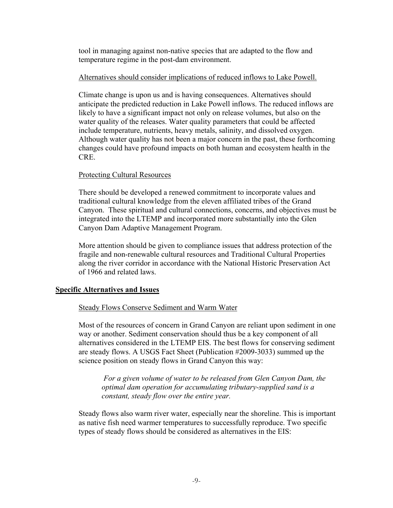tool in managing against non-native species that are adapted to the flow and temperature regime in the post-dam environment.

## Alternatives should consider implications of reduced inflows to Lake Powell.

Climate change is upon us and is having consequences. Alternatives should anticipate the predicted reduction in Lake Powell inflows. The reduced inflows are likely to have a significant impact not only on release volumes, but also on the water quality of the releases. Water quality parameters that could be affected include temperature, nutrients, heavy metals, salinity, and dissolved oxygen. Although water quality has not been a major concern in the past, these forthcoming changes could have profound impacts on both human and ecosystem health in the CRE.

## Protecting Cultural Resources

There should be developed a renewed commitment to incorporate values and traditional cultural knowledge from the eleven affiliated tribes of the Grand Canyon. These spiritual and cultural connections, concerns, and objectives must be integrated into the LTEMP and incorporated more substantially into the Glen Canyon Dam Adaptive Management Program.

More attention should be given to compliance issues that address protection of the fragile and non-renewable cultural resources and Traditional Cultural Properties along the river corridor in accordance with the National Historic Preservation Act of 1966 and related laws.

# **Specific Alternatives and Issues**

# Steady Flows Conserve Sediment and Warm Water

Most of the resources of concern in Grand Canyon are reliant upon sediment in one way or another. Sediment conservation should thus be a key component of all alternatives considered in the LTEMP EIS. The best flows for conserving sediment are steady flows. A USGS Fact Sheet (Publication #2009-3033) summed up the science position on steady flows in Grand Canyon this way:

 *For a given volume of water to be released from Glen Canyon Dam, the optimal dam operation for accumulating tributary-supplied sand is a constant, steady flow over the entire year.*

Steady flows also warm river water, especially near the shoreline. This is important as native fish need warmer temperatures to successfully reproduce. Two specific types of steady flows should be considered as alternatives in the EIS: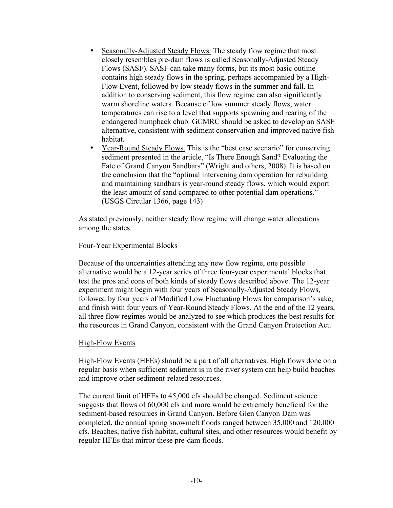- Seasonally-Adjusted Steady Flows. The steady flow regime that most closely resembles pre-dam flows is called Seasonally-Adjusted Steady Flows (SASF). SASF can take many forms, but its most basic outline contains high steady flows in the spring, perhaps accompanied by a High-Flow Event, followed by low steady flows in the summer and fall. In addition to conserving sediment, this flow regime can also significantly warm shoreline waters. Because of low summer steady flows, water temperatures can rise to a level that supports spawning and rearing of the endangered humpback chub. GCMRC should be asked to develop an SASF alternative, consistent with sediment conservation and improved native fish habitat.
- Year-Round Steady Flows. This is the "best case scenario" for conserving sediment presented in the article, "Is There Enough Sand? Evaluating the Fate of Grand Canyon Sandbars" (Wright and others, 2008). It is based on the conclusion that the "optimal intervening dam operation for rebuilding and maintaining sandbars is year-round steady flows, which would export the least amount of sand compared to other potential dam operations." (USGS Circular 1366, page 143)

As stated previously, neither steady flow regime will change water allocations among the states.

## Four-Year Experimental Blocks

Because of the uncertainties attending any new flow regime, one possible alternative would be a 12-year series of three four-year experimental blocks that test the pros and cons of both kinds of steady flows described above. The 12-year experiment might begin with four years of Seasonally-Adjusted Steady Flows, followed by four years of Modified Low Fluctuating Flows for comparison's sake, and finish with four years of Year-Round Steady Flows. At the end of the 12 years, all three flow regimes would be analyzed to see which produces the best results for the resources in Grand Canyon, consistent with the Grand Canyon Protection Act.

## High-Flow Events

High-Flow Events (HFEs) should be a part of all alternatives. High flows done on a regular basis when sufficient sediment is in the river system can help build beaches and improve other sediment-related resources.

The current limit of HFEs to 45,000 cfs should be changed. Sediment science suggests that flows of 60,000 cfs and more would be extremely beneficial for the sediment-based resources in Grand Canyon. Before Glen Canyon Dam was completed, the annual spring snowmelt floods ranged between 35,000 and 120,000 cfs. Beaches, native fish habitat, cultural sites, and other resources would benefit by regular HFEs that mirror these pre-dam floods.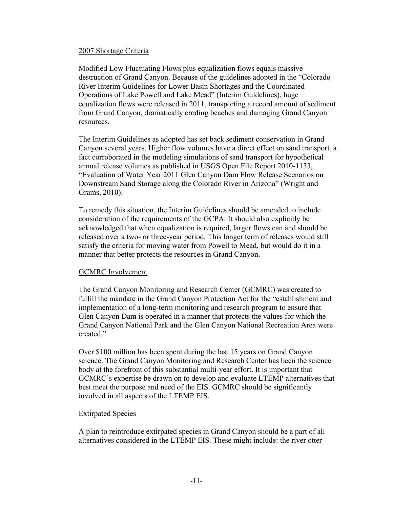## 2007 Shortage Criteria

Modified Low Fluctuating Flows plus equalization flows equals massive destruction of Grand Canyon. Because of the guidelines adopted in the "Colorado River Interim Guidelines for Lower Basin Shortages and the Coordinated Operations of Lake Powell and Lake Mead" (Interim Guidelines), huge equalization flows were released in 2011, transporting a record amount of sediment from Grand Canyon, dramatically eroding beaches and damaging Grand Canyon resources.

The Interim Guidelines as adopted has set back sediment conservation in Grand Canyon several years. Higher flow volumes have a direct effect on sand transport, a fact corroborated in the modeling simulations of sand transport for hypothetical annual release volumes as published in USGS Open File Report 2010-1133, "Evaluation of Water Year 2011 Glen Canyon Dam Flow Release Scenarios on Downstream Sand Storage along the Colorado River in Arizona" (Wright and Grams, 2010).

To remedy this situation, the Interim Guidelines should be amended to include consideration of the requirements of the GCPA. It should also explicitly be acknowledged that when equalization is required, larger flows can and should be released over a two- or three-year period. This longer term of releases would still satisfy the criteria for moving water from Powell to Mead, but would do it in a manner that better protects the resources in Grand Canyon.

## GCMRC Involvement

The Grand Canyon Monitoring and Research Center (GCMRC) was created to fulfill the mandate in the Grand Canyon Protection Act for the "establishment and implementation of a long-term monitoring and research program to ensure that Glen Canyon Dam is operated in a manner that protects the values for which the Grand Canyon National Park and the Glen Canyon National Recreation Area were created."

Over \$100 million has been spent during the last 15 years on Grand Canyon science. The Grand Canyon Monitoring and Research Center has been the science body at the forefront of this substantial multi-year effort. It is important that GCMRC's expertise be drawn on to develop and evaluate LTEMP alternatives that best meet the purpose and need of the EIS. GCMRC should be significantly involved in all aspects of the LTEMP EIS.

# Extirpated Species

A plan to reintroduce extirpated species in Grand Canyon should be a part of all alternatives considered in the LTEMP EIS. These might include: the river otter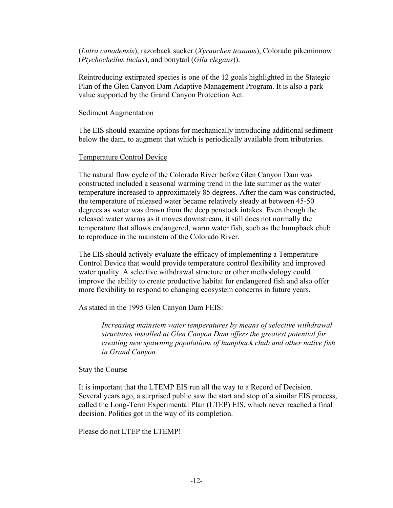(*Lutra canadensis*), razorback sucker (*Xyrauchen texanus*), Colorado pikeminnow (*Ptychocheilus lucius*), and bonytail (*Gila elegans*)).

Reintroducing extirpated species is one of the 12 goals highlighted in the Stategic Plan of the Glen Canyon Dam Adaptive Management Program. It is also a park value supported by the Grand Canyon Protection Act.

## Sediment Augmentation

The EIS should examine options for mechanically introducing additional sediment below the dam, to augment that which is periodically available from tributaries.

## Temperature Control Device

The natural flow cycle of the Colorado River before Glen Canyon Dam was constructed included a seasonal warming trend in the late summer as the water temperature increased to approximately 85 degrees. After the dam was constructed, the temperature of released water became relatively steady at between 45-50 degrees as water was drawn from the deep penstock intakes. Even though the released water warms as it moves downstream, it still does not normally the temperature that allows endangered, warm water fish, such as the humpback chub to reproduce in the mainstem of the Colorado River.

The EIS should actively evaluate the efficacy of implementing a Temperature Control Device that would provide temperature control flexibility and improved water quality. A selective withdrawal structure or other methodology could improve the ability to create productive habitat for endangered fish and also offer more flexibility to respond to changing ecosystem concerns in future years.

As stated in the 1995 Glen Canyon Dam FEIS:

*Increasing mainstem water temperatures by means of selective withdrawal structures installed at Glen Canyon Dam offers the greatest potential for creating new spawning populations of humpback chub and other native fish in Grand Canyon.*

## Stay the Course

It is important that the LTEMP EIS run all the way to a Record of Decision. Several years ago, a surprised public saw the start and stop of a similar EIS process, called the Long-Term Experimental Plan (LTEP) EIS, which never reached a final decision. Politics got in the way of its completion.

Please do not LTEP the LTEMP!